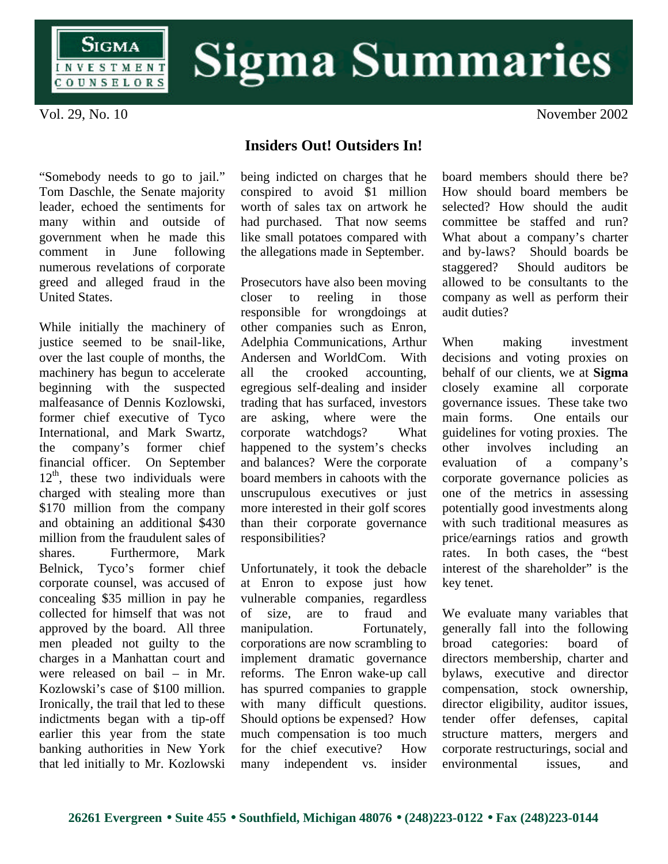

## **Sigma Summaries**

Vol. 29, No. 10 November 2002

"Somebody needs to go to jail." Tom Daschle, the Senate majority leader, echoed the sentiments for many within and outside of government when he made this comment in June following numerous revelations of corporate greed and alleged fraud in the United States.

While initially the machinery of justice seemed to be snail-like, over the last couple of months, the machinery has begun to accelerate beginning with the suspected malfeasance of Dennis Kozlowski, former chief executive of Tyco International, and Mark Swartz, the company's former chief financial officer. On September  $12<sup>th</sup>$ , these two individuals were charged with stealing more than \$170 million from the company and obtaining an additional \$430 million from the fraudulent sales of shares. Furthermore, Mark Belnick, Tyco's former chief corporate counsel, was accused of concealing \$35 million in pay he collected for himself that was not approved by the board. All three men pleaded not guilty to the charges in a Manhattan court and were released on bail – in Mr. Kozlowski's case of \$100 million. Ironically, the trail that led to these indictments began with a tip-off earlier this year from the state banking authorities in New York that led initially to Mr. Kozlowski

being indicted on charges that he conspired to avoid \$1 million worth of sales tax on artwork he had purchased. That now seems like small potatoes compared with the allegations made in September.

**Insiders Out! Outsiders In!**

Prosecutors have also been moving closer to reeling in those responsible for wrongdoings at other companies such as Enron, Adelphia Communications, Arthur Andersen and WorldCom. With all the crooked accounting, egregious self-dealing and insider trading that has surfaced, investors are asking, where were the corporate watchdogs? What happened to the system's checks and balances? Were the corporate board members in cahoots with the unscrupulous executives or just more interested in their golf scores than their corporate governance responsibilities?

Unfortunately, it took the debacle at Enron to expose just how vulnerable companies, regardless of size, are to fraud and manipulation. Fortunately, corporations are now scrambling to implement dramatic governance reforms. The Enron wake-up call has spurred companies to grapple with many difficult questions. Should options be expensed? How much compensation is too much for the chief executive? How many independent vs. insider board members should there be? How should board members be selected? How should the audit committee be staffed and run? What about a company's charter and by-laws? Should boards be staggered? Should auditors be allowed to be consultants to the company as well as perform their audit duties?

When making investment decisions and voting proxies on behalf of our clients, we at **Sigma** closely examine all corporate governance issues. These take two main forms. One entails our guidelines for voting proxies. The other involves including an evaluation of a company's corporate governance policies as one of the metrics in assessing potentially good investments along with such traditional measures as price/earnings ratios and growth rates. In both cases, the "best interest of the shareholder" is the key tenet.

We evaluate many variables that generally fall into the following broad categories: board of directors membership, charter and bylaws, executive and director compensation, stock ownership, director eligibility, auditor issues, tender offer defenses, capital structure matters, mergers and corporate restructurings, social and environmental issues, and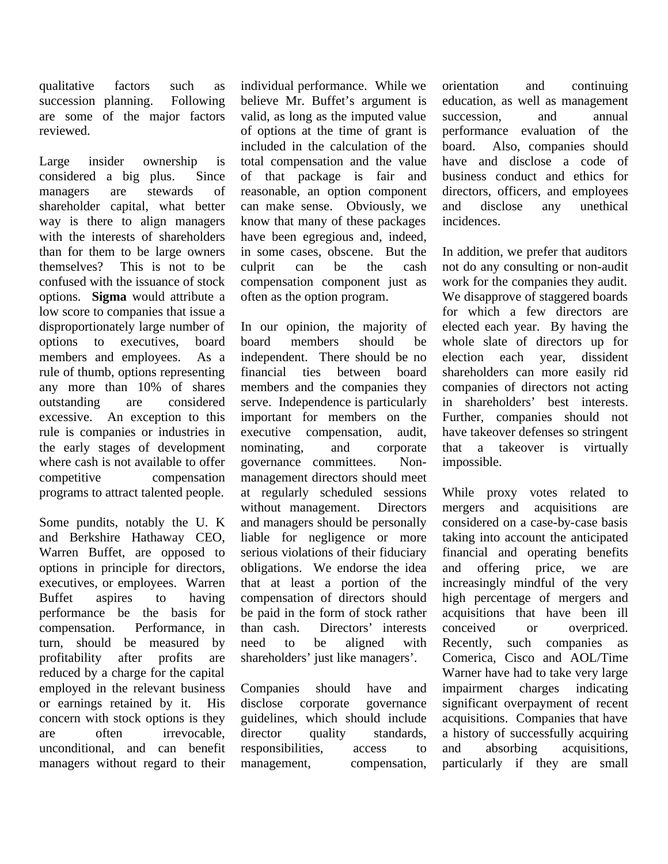qualitative factors such as succession planning. Following are some of the major factors reviewed.

Large insider ownership is considered a big plus. Since managers are stewards of shareholder capital, what better way is there to align managers with the interests of shareholders than for them to be large owners themselves? This is not to be confused with the issuance of stock options. **Sigma** would attribute a low score to companies that issue a disproportionately large number of options to executives, board members and employees. As a rule of thumb, options representing any more than 10% of shares outstanding are considered excessive. An exception to this rule is companies or industries in the early stages of development where cash is not available to offer competitive compensation programs to attract talented people.

Some pundits, notably the U. K and Berkshire Hathaway CEO, Warren Buffet, are opposed to options in principle for directors, executives, or employees. Warren Buffet aspires to having performance be the basis for compensation. Performance, in turn, should be measured by profitability after profits are reduced by a charge for the capital employed in the relevant business or earnings retained by it. His concern with stock options is they are often irrevocable, unconditional, and can benefit managers without regard to their individual performance. While we believe Mr. Buffet's argument is valid, as long as the imputed value of options at the time of grant is included in the calculation of the total compensation and the value of that package is fair and reasonable, an option component can make sense. Obviously, we know that many of these packages have been egregious and, indeed, in some cases, obscene. But the culprit can be the cash compensation component just as often as the option program.

In our opinion, the majority of board members should be independent. There should be no financial ties between board members and the companies they serve. Independence is particularly important for members on the executive compensation, audit, nominating, and corporate governance committees. Nonmanagement directors should meet at regularly scheduled sessions without management. Directors and managers should be personally liable for negligence or more serious violations of their fiduciary obligations. We endorse the idea that at least a portion of the compensation of directors should be paid in the form of stock rather than cash. Directors' interests need to be aligned with shareholders' just like managers'.

Companies should have and disclose corporate governance guidelines, which should include director quality standards, responsibilities, access to management, compensation, orientation and continuing education, as well as management succession. and annual performance evaluation of the board. Also, companies should have and disclose a code of business conduct and ethics for directors, officers, and employees and disclose any unethical incidences.

In addition, we prefer that auditors not do any consulting or non-audit work for the companies they audit. We disapprove of staggered boards for which a few directors are elected each year. By having the whole slate of directors up for election each year, dissident shareholders can more easily rid companies of directors not acting in shareholders' best interests. Further, companies should not have takeover defenses so stringent that a takeover is virtually impossible.

While proxy votes related to mergers and acquisitions are considered on a case-by-case basis taking into account the anticipated financial and operating benefits and offering price, we are increasingly mindful of the very high percentage of mergers and acquisitions that have been ill conceived or overpriced. Recently, such companies as Comerica, Cisco and AOL/Time Warner have had to take very large impairment charges indicating significant overpayment of recent acquisitions. Companies that have a history of successfully acquiring and absorbing acquisitions, particularly if they are small